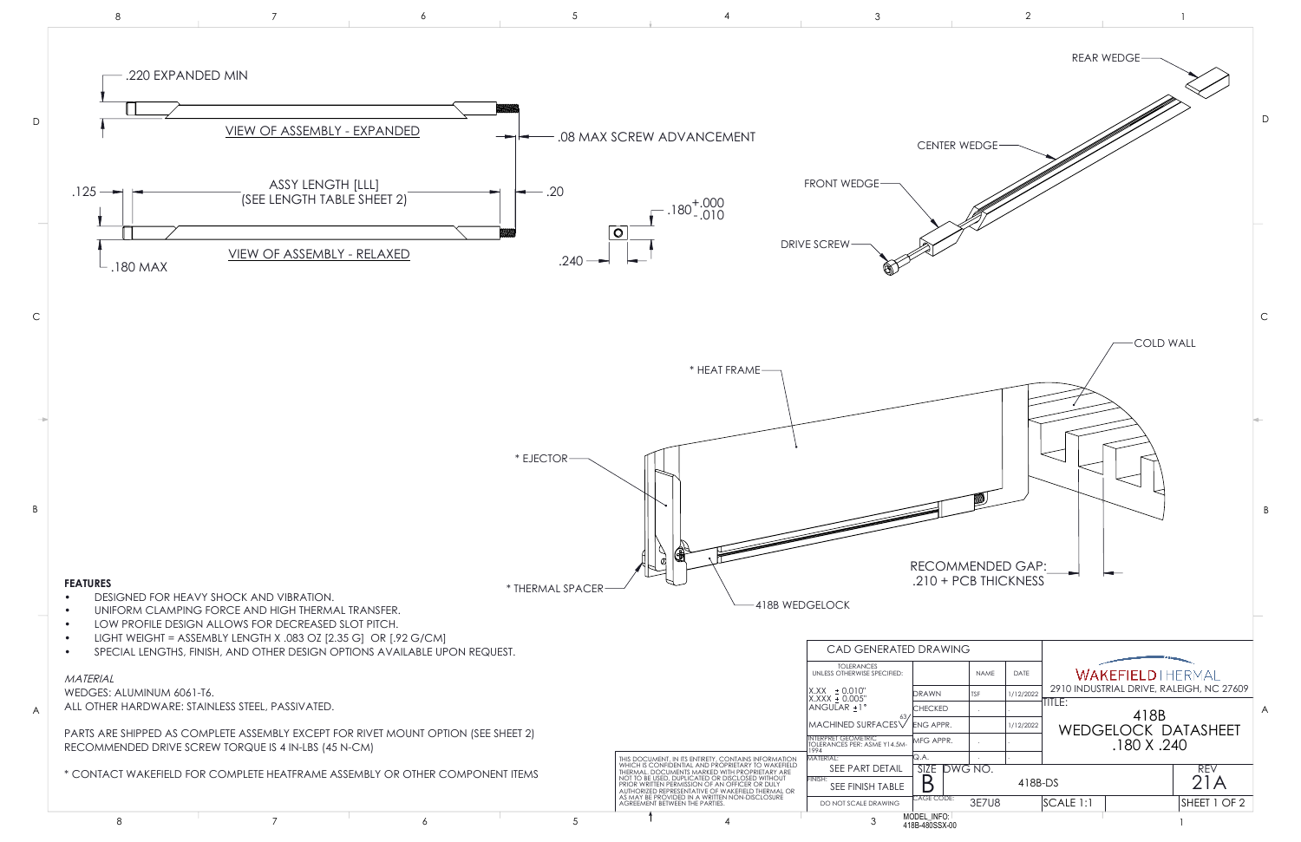